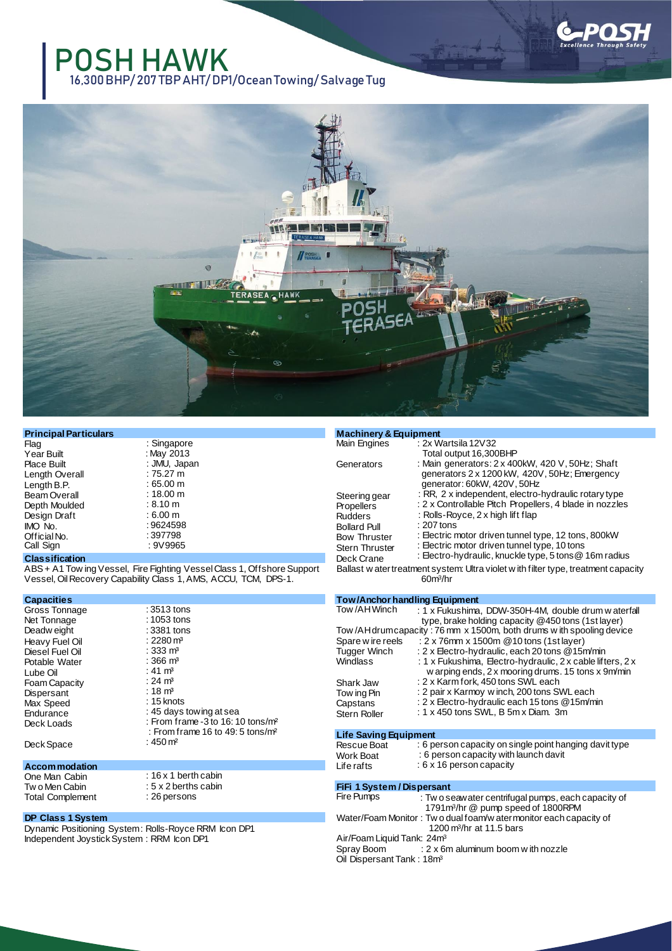

16,300 BHP/ 207 TBP AHT/ DP1/Ocean Towing/ Salvage Tug



|                      | <b>Machinery &amp; Equipment</b> |                                                                 |
|----------------------|----------------------------------|-----------------------------------------------------------------|
| : Singapore          | Main Engines                     | : $2x$ Wartsila 12V32                                           |
| : May 2013           |                                  | Total output 16,300BHP                                          |
| : JMU, Japan         | Generators                       | : Main generators: 2 x 400kW, 420 V, 50Hz; Shaft                |
| : 75.27 m            |                                  | generators 2 x 1200 kW, 420V, 50Hz; Emergency                   |
| $:65.00 \; \text{m}$ |                                  | generator: 60kW, 420V, 50Hz                                     |
| : 18.00 m            |                                  | $\therefore$ RR, 2 x independent, electro-hydraulic rotary type |
| $:8.10 \text{ m}$    | <b>Propellers</b>                | : 2 x Controllable Pitch Propellers, 4 blade in nozzle          |
| $:6.00 \text{ m}$    | <b>Rudders</b>                   | : Rolls-Royce, $2 \times$ high lift flap                        |
| : 9624598            |                                  | $: 207$ tons                                                    |
| : 397798             |                                  | : Electric motor driven tunnel type, 12 tons, 800kW             |
| : 9V9965             | <b>Stern Thruster</b>            | : Electric motor driven tunnel type, 10 tons                    |
|                      |                                  | Steering gear<br><b>Bollard Pull</b><br><b>Bow Thruster</b>     |

### **Classification**

ABS + A1 Tow ing Vessel, Fire Fighting Vessel Class 1, Offshore Support Vessel, OilRecovery Capability Class 1,AMS, ACCU, TCM, DPS-1.

**Capacities**

| Capacities      |                                                 |
|-----------------|-------------------------------------------------|
| Gross Tonnage   | : 3513 tons                                     |
| Net Tonnage     | : 1053 tons                                     |
| Deadw eight     | : 3381 tons                                     |
| Heavy Fuel Oil  | : 2280 $m3$                                     |
| Diesel Fuel Oil | : 333 $m3$                                      |
| Potable Water   | : 366 $m3$                                      |
| Lube Oil        | : 41 $m3$                                       |
| Foam Capacity   | : 24 $ m3$                                      |
| Dispersant      | : 18 $m3$                                       |
| Max Speed       | $: 15$ knots                                    |
| Endurance       | : 45 days towing at sea                         |
| Deck Loads      | : From frame $-3$ to 16: 10 tons/m <sup>2</sup> |
|                 | : From frame 16 to 49: 5 tons/m <sup>2</sup>    |
| Deck Space      | : 450 $m2$                                      |
|                 |                                                 |

: 16 x 1 berth cabin : 5 x 2 berths cabin : 26 persons

#### **Accommodation**

One Man Cabin Tw o Men Cabin Total Complement

## **DP Class 1 System**

Dynamic Positioning System: Rolls-Royce RRM Icon DP1 Independent Joystick System : RRM Icon DP1

## Stern Thruste Deck Crane : RR, 2 x independent, electro-hydraulic rotary type : 2 x Controllable Pitch Propellers, 4 blade in nozzles : Electric motor driven tunnel type, 10 tons : Electro-hydraulic, knuckle type, 5 tons@ 16m radius Ballast w atertreatment system: Ultra violet w ith filter type, treatment capacity

60m<sup>3</sup> /hr

# **Tow/Anchor handling Equipment**

| Tow/AHWinch                                                          | : 1 x Fukushima, DDW-350H-4M, double drum w aterfall       |  |
|----------------------------------------------------------------------|------------------------------------------------------------|--|
|                                                                      | type, brake holding capacity @450 tons (1st layer)         |  |
| Tow/AH drum capacity: 76 mm x 1500m, both drums with spooling device |                                                            |  |
| Spare w ire reels                                                    | : 2 x 76mm x 1500m @ 10 tons (1st layer)                   |  |
| <b>Tugger Winch</b>                                                  | : 2 x Electro-hydraulic, each 20 tons @15m/min             |  |
| Windlass                                                             | : 1 x Fukushima, Electro-hydraulic, 2 x cable lifters, 2 x |  |
|                                                                      | w arping ends, 2 x mooring drums. 15 tons x 9m/min         |  |
| Shark Jaw                                                            | : 2 x Karm fork, 450 tons SWL each                         |  |
| Tow ing Pin                                                          | : 2 pair x Karmoy w inch, 200 tons SWL each                |  |
| Capstans                                                             | : 2 x Electro-hydraulic each 15 tons @15m/min              |  |
| <b>Stern Roller</b>                                                  | : $1 \times 450$ tons SWL, B 5m x Diam. 3m                 |  |
|                                                                      |                                                            |  |

## **Life Saving Equipment**

Rescue Boat Work Boat Life rafts : 6 person capacity on single point hanging davit type : 6 person capacity with launch davit : 6 x 16 person capacity

## **FiFi 1 System / Dispersant**

| Fire Pumps                             | : Two seaw ater centrifugal pumps, each capacity of              |
|----------------------------------------|------------------------------------------------------------------|
|                                        | 1791m <sup>3</sup> /hr @ pump speed of 1800RPM                   |
|                                        | Water/Foam Monitor: Two dual foam/w atermonitor each capacity of |
|                                        | 1200 m <sup>3</sup> /hr at 11.5 bars                             |
| Air/Foam Liquid Tank: 24m <sup>3</sup> |                                                                  |
| Spray Boom                             | $: 2 \times 6$ m aluminum boom with nozzle                       |
| Oil Dispersant Tank: 18m <sup>3</sup>  |                                                                  |